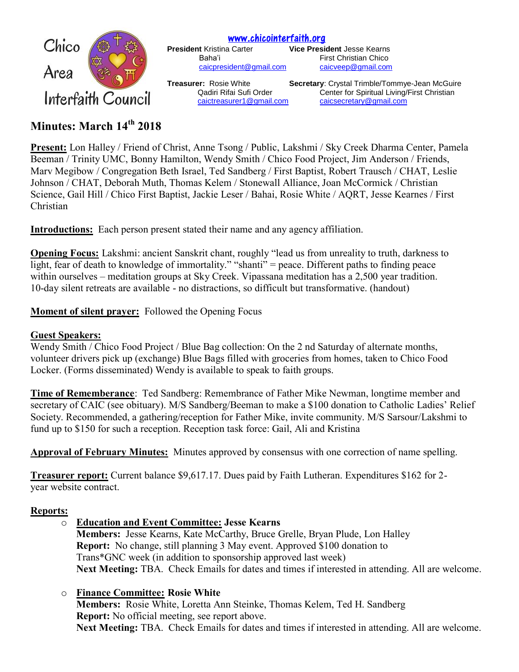

[www.chicointerfaith.org](file:///C:/Users/CSL/Downloads/www.chicointerfaith.org) **President** Kristina Carter **Vice President** Jesse Kearns

Baha'i **First Christian Chico** [caicpresident@gmail.com](mailto:caicpresident@gmail.com) [caicveep@gmail.com](mailto:caicveep@gmail.com)

**Treasurer:** Rosie White **Secretary**: Crystal Trimble/Tommye-Jean McGuire Qadiri Rifai Sufi Order Center for Spiritual Living/First Christian [caictreasurer1@gmail.com](mailto:caictreasurer1@gmail.com) [caicsecretary@gmail.com](mailto:caicsecretary@gmail.com)

# **Minutes: March 14 th 2018**

**Present:** Lon Halley / Friend of Christ, Anne Tsong / Public, Lakshmi / Sky Creek Dharma Center, Pamela Beeman / Trinity UMC, Bonny Hamilton, Wendy Smith / Chico Food Project, Jim Anderson / Friends, Marv Megibow / Congregation Beth Israel, Ted Sandberg / First Baptist, Robert Trausch / CHAT, Leslie Johnson / CHAT, Deborah Muth, Thomas Kelem / Stonewall Alliance, Joan McCormick / Christian Science, Gail Hill / Chico First Baptist, Jackie Leser / Bahai, Rosie White / AQRT, Jesse Kearnes / First Christian

**Introductions:** Each person present stated their name and any agency affiliation.

**Opening Focus:** Lakshmi: ancient Sanskrit chant, roughly "lead us from unreality to truth, darkness to light, fear of death to knowledge of immortality." "shanti" = peace. Different paths to finding peace within ourselves – meditation groups at Sky Creek. Vipassana meditation has a 2,500 year tradition. 10-day silent retreats are available - no distractions, so difficult but transformative. (handout)

**Moment of silent prayer:** Followed the Opening Focus

## **Guest Speakers:**

Wendy Smith / Chico Food Project / Blue Bag collection: On the 2 nd Saturday of alternate months, volunteer drivers pick up (exchange) Blue Bags filled with groceries from homes, taken to Chico Food Locker. (Forms disseminated) Wendy is available to speak to faith groups.

**Time of Rememberance**: Ted Sandberg: Remembrance of Father Mike Newman, longtime member and secretary of CAIC (see obituary). M/S Sandberg/Beeman to make a \$100 donation to Catholic Ladies' Relief Society. Recommended, a gathering/reception for Father Mike, invite community. M/S Sarsour/Lakshmi to fund up to \$150 for such a reception. Reception task force: Gail, Ali and Kristina

**Approval of February Minutes:** Minutes approved by consensus with one correction of name spelling.

**Treasurer report:** Current balance \$9,617.17. Dues paid by Faith Lutheran. Expenditures \$162 for 2 year website contract.

# **Reports:**

o **Education and Event Committee: Jesse Kearns**

**Members:** Jesse Kearns, Kate McCarthy, Bruce Grelle, Bryan Plude, Lon Halley **Report:** No change, still planning 3 May event. Approved \$100 donation to Trans\*GNC week (in addition to sponsorship approved last week) **Next Meeting:** TBA. Check Emails for dates and times if interested in attending. All are welcome.

# o **Finance Committee: Rosie White**

**Members:** Rosie White, Loretta Ann Steinke, Thomas Kelem, Ted H. Sandberg **Report:** No official meeting, see report above. **Next Meeting:** TBA. Check Emails for dates and times if interested in attending. All are welcome.